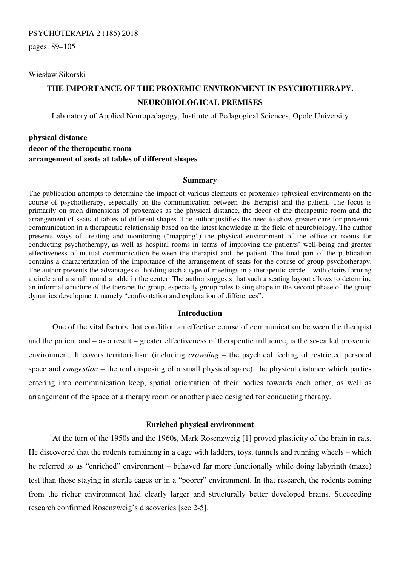## PSYCHOTERAPIA 2 (185) 2018

pages: 89–105

Wiesław Sikorski

# **THE IMPORTANCE OF THE PROXEMIC ENVIRONMENT IN PSYCHOTHERAPY. NEUROBIOLOGICAL PREMISES**

Laboratory of Applied Neuropedagogy, Institute of Pedagogical Sciences, Opole University

# **physical distance decor of the therapeutic room arrangement of seats at tables of different shapes**

#### **Summary**

The publication attempts to determine the impact of various elements of proxemics (physical environment) on the course of psychotherapy, especially on the communication between the therapist and the patient. The focus is primarily on such dimensions of proxemics as the physical distance, the decor of the therapeutic room and the arrangement of seats at tables of different shapes. The author justifies the need to show greater care for proxemic communication in a therapeutic relationship based on the latest knowledge in the field of neurobiology. The author presents ways of creating and monitoring ("mapping") the physical environment of the office or rooms for conducting psychotherapy, as well as hospital rooms in terms of improving the patients' well-being and greater effectiveness of mutual communication between the therapist and the patient. The final part of the publication contains a characterization of the importance of the arrangement of seats for the course of group psychotherapy. The author presents the advantages of holding such a type of meetings in a therapeutic circle – with chairs forming a circle and a small round a table in the center. The author suggests that such a seating layout allows to determine an informal structure of the therapeutic group, especially group roles taking shape in the second phase of the group dynamics development, namely "confrontation and exploration of differences".

## **Introduction**

One of the vital factors that condition an effective course of communication between the therapist and the patient and – as a result – greater effectiveness of therapeutic influence, is the so-called proxemic environment. It covers territorialism (including *crowding* – the psychical feeling of restricted personal space and *congestion* – the real disposing of a small physical space), the physical distance which parties entering into communication keep, spatial orientation of their bodies towards each other, as well as arrangement of the space of a therapy room or another place designed for conducting therapy.

## **Enriched physical environment**

At the turn of the 1950s and the 1960s, Mark Rosenzweig [1] proved plasticity of the brain in rats. He discovered that the rodents remaining in a cage with ladders, toys, tunnels and running wheels – which he referred to as "enriched" environment – behaved far more functionally while doing labyrinth (maze) test than those staying in sterile cages or in a "poorer" environment. In that research, the rodents coming from the richer environment had clearly larger and structurally better developed brains. Succeeding research confirmed Rosenzweig's discoveries [see 2-5].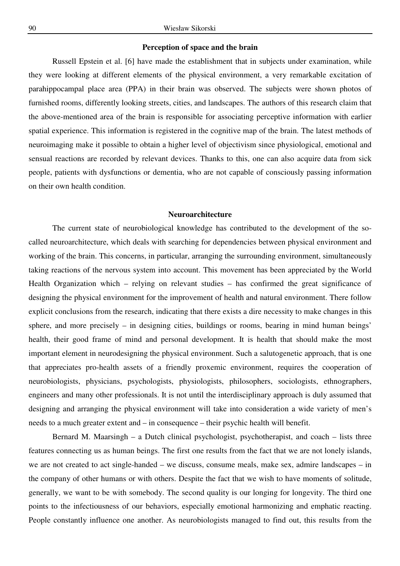#### **Perception of space and the brain**

Russell Epstein et al. [6] have made the establishment that in subjects under examination, while they were looking at different elements of the physical environment, a very remarkable excitation of parahippocampal place area (PPA) in their brain was observed. The subjects were shown photos of furnished rooms, differently looking streets, cities, and landscapes. The authors of this research claim that the above-mentioned area of the brain is responsible for associating perceptive information with earlier spatial experience. This information is registered in the cognitive map of the brain. The latest methods of neuroimaging make it possible to obtain a higher level of objectivism since physiological, emotional and sensual reactions are recorded by relevant devices. Thanks to this, one can also acquire data from sick people, patients with dysfunctions or dementia, who are not capable of consciously passing information on their own health condition.

# **Neuroarchitecture**

The current state of neurobiological knowledge has contributed to the development of the socalled neuroarchitecture, which deals with searching for dependencies between physical environment and working of the brain. This concerns, in particular, arranging the surrounding environment, simultaneously taking reactions of the nervous system into account. This movement has been appreciated by the World Health Organization which – relying on relevant studies – has confirmed the great significance of designing the physical environment for the improvement of health and natural environment. There follow explicit conclusions from the research, indicating that there exists a dire necessity to make changes in this sphere, and more precisely – in designing cities, buildings or rooms, bearing in mind human beings' health, their good frame of mind and personal development. It is health that should make the most important element in neurodesigning the physical environment. Such a salutogenetic approach, that is one that appreciates pro-health assets of a friendly proxemic environment, requires the cooperation of neurobiologists, physicians, psychologists, physiologists, philosophers, sociologists, ethnographers, engineers and many other professionals. It is not until the interdisciplinary approach is duly assumed that designing and arranging the physical environment will take into consideration a wide variety of men's needs to a much greater extent and – in consequence – their psychic health will benefit.

Bernard M. Maarsingh – a Dutch clinical psychologist, psychotherapist, and coach – lists three features connecting us as human beings. The first one results from the fact that we are not lonely islands, we are not created to act single-handed – we discuss, consume meals, make sex, admire landscapes – in the company of other humans or with others. Despite the fact that we wish to have moments of solitude, generally, we want to be with somebody. The second quality is our longing for longevity. The third one points to the infectiousness of our behaviors, especially emotional harmonizing and emphatic reacting. People constantly influence one another. As neurobiologists managed to find out, this results from the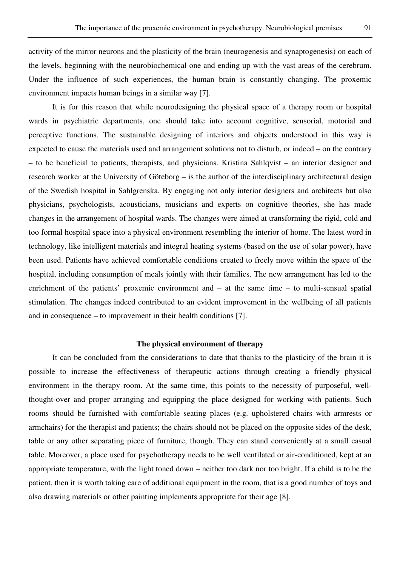activity of the mirror neurons and the plasticity of the brain (neurogenesis and synaptogenesis) on each of the levels, beginning with the neurobiochemical one and ending up with the vast areas of the cerebrum. Under the influence of such experiences, the human brain is constantly changing. The proxemic environment impacts human beings in a similar way [7].

It is for this reason that while neurodesigning the physical space of a therapy room or hospital wards in psychiatric departments, one should take into account cognitive, sensorial, motorial and perceptive functions. The sustainable designing of interiors and objects understood in this way is expected to cause the materials used and arrangement solutions not to disturb, or indeed – on the contrary – to be beneficial to patients, therapists, and physicians. Kristina Sahlqvist – an interior designer and research worker at the University of Göteborg – is the author of the interdisciplinary architectural design of the Swedish hospital in Sahlgrenska. By engaging not only interior designers and architects but also physicians, psychologists, acousticians, musicians and experts on cognitive theories, she has made changes in the arrangement of hospital wards. The changes were aimed at transforming the rigid, cold and too formal hospital space into a physical environment resembling the interior of home. The latest word in technology, like intelligent materials and integral heating systems (based on the use of solar power), have been used. Patients have achieved comfortable conditions created to freely move within the space of the hospital, including consumption of meals jointly with their families. The new arrangement has led to the enrichment of the patients' proxemic environment and – at the same time – to multi-sensual spatial stimulation. The changes indeed contributed to an evident improvement in the wellbeing of all patients and in consequence – to improvement in their health conditions [7].

# **The physical environment of therapy**

It can be concluded from the considerations to date that thanks to the plasticity of the brain it is possible to increase the effectiveness of therapeutic actions through creating a friendly physical environment in the therapy room. At the same time, this points to the necessity of purposeful, wellthought-over and proper arranging and equipping the place designed for working with patients. Such rooms should be furnished with comfortable seating places (e.g. upholstered chairs with armrests or armchairs) for the therapist and patients; the chairs should not be placed on the opposite sides of the desk, table or any other separating piece of furniture, though. They can stand conveniently at a small casual table. Moreover, a place used for psychotherapy needs to be well ventilated or air-conditioned, kept at an appropriate temperature, with the light toned down – neither too dark nor too bright. If a child is to be the patient, then it is worth taking care of additional equipment in the room, that is a good number of toys and also drawing materials or other painting implements appropriate for their age [8].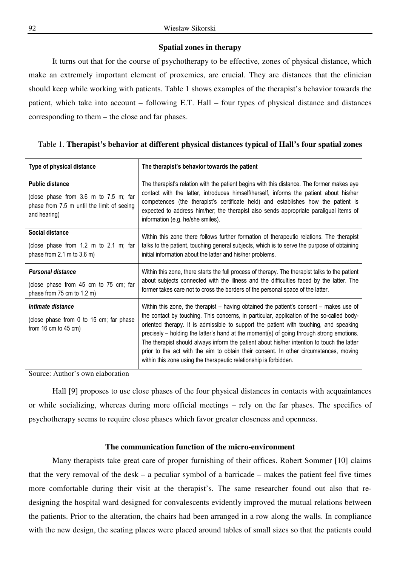# **Spatial zones in therapy**

It turns out that for the course of psychotherapy to be effective, zones of physical distance, which make an extremely important element of proxemics, are crucial. They are distances that the clinician should keep while working with patients. Table 1 shows examples of the therapist's behavior towards the patient, which take into account – following E.T. Hall – four types of physical distance and distances corresponding to them – the close and far phases.

# Table 1. **Therapist's behavior at different physical distances typical of Hall's four spatial zones**

| Type of physical distance                                                                                                     | The therapist's behavior towards the patient                                                                                                                                                                                                                                                                                                                                                                                                                                                                                                                                                                                         |
|-------------------------------------------------------------------------------------------------------------------------------|--------------------------------------------------------------------------------------------------------------------------------------------------------------------------------------------------------------------------------------------------------------------------------------------------------------------------------------------------------------------------------------------------------------------------------------------------------------------------------------------------------------------------------------------------------------------------------------------------------------------------------------|
| <b>Public distance</b><br>(close phase from 3.6 m to 7.5 m; far<br>phase from 7.5 m until the limit of seeing<br>and hearing) | The therapist's relation with the patient begins with this distance. The former makes eye<br>contact with the latter, introduces himself/herself, informs the patient about his/her<br>competences (the therapist's certificate held) and establishes how the patient is<br>expected to address him/her; the therapist also sends appropriate paraligual items of<br>information (e.g. he/she smiles).                                                                                                                                                                                                                               |
| Social distance<br>(close phase from 1.2 m to 2.1 m; far<br>phase from 2.1 m to 3.6 m)                                        | Within this zone there follows further formation of therapeutic relations. The therapist<br>talks to the patient, touching general subjects, which is to serve the purpose of obtaining<br>initial information about the latter and his/her problems.                                                                                                                                                                                                                                                                                                                                                                                |
| Personal distance<br>(close phase from 45 cm to 75 cm; far<br>phase from 75 cm to $1.2$ m)                                    | Within this zone, there starts the full process of therapy. The therapist talks to the patient<br>about subjects connected with the illness and the difficulties faced by the latter. The<br>former takes care not to cross the borders of the personal space of the latter.                                                                                                                                                                                                                                                                                                                                                         |
| Intimate distance<br>(close phase from 0 to 15 cm; far phase<br>from $16 \text{ cm}$ to $45 \text{ cm}$ )                     | Within this zone, the therapist – having obtained the patient's consent – makes use of<br>the contact by touching. This concerns, in particular, application of the so-called body-<br>oriented therapy. It is admissible to support the patient with touching, and speaking<br>precisely - holding the latter's hand at the moment(s) of going through strong emotions.<br>The therapist should always inform the patient about his/her intention to touch the latter<br>prior to the act with the aim to obtain their consent. In other circumstances, moving<br>within this zone using the therapeutic relationship is forbidden. |

Source: Author's own elaboration

Hall [9] proposes to use close phases of the four physical distances in contacts with acquaintances or while socializing, whereas during more official meetings – rely on the far phases. The specifics of psychotherapy seems to require close phases which favor greater closeness and openness.

## **The communication function of the micro-environment**

Many therapists take great care of proper furnishing of their offices. Robert Sommer [10] claims that the very removal of the desk – a peculiar symbol of a barricade – makes the patient feel five times more comfortable during their visit at the therapist's. The same researcher found out also that redesigning the hospital ward designed for convalescents evidently improved the mutual relations between the patients. Prior to the alteration, the chairs had been arranged in a row along the walls. In compliance with the new design, the seating places were placed around tables of small sizes so that the patients could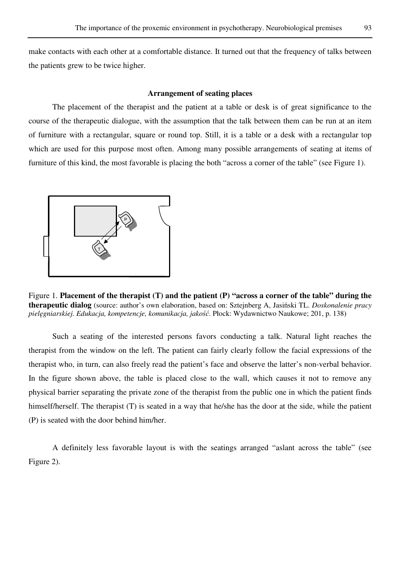make contacts with each other at a comfortable distance. It turned out that the frequency of talks between the patients grew to be twice higher.

#### **Arrangement of seating places**

The placement of the therapist and the patient at a table or desk is of great significance to the course of the therapeutic dialogue, with the assumption that the talk between them can be run at an item of furniture with a rectangular, square or round top. Still, it is a table or a desk with a rectangular top which are used for this purpose most often. Among many possible arrangements of seating at items of furniture of this kind, the most favorable is placing the both "across a corner of the table" (see Figure 1).



Figure 1. **Placement of the therapist (T) and the patient (P) "across a corner of the table" during the therapeutic dialog** (source: author's own elaboration, based on: Sztejnberg A, Jasiński TL. *Doskonalenie pracy pielęgniarskiej. Edukacja, kompetencje, komunikacja, jakość*. Płock: Wydawnictwo Naukowe; 201, p. 138)

Such a seating of the interested persons favors conducting a talk. Natural light reaches the therapist from the window on the left. The patient can fairly clearly follow the facial expressions of the therapist who, in turn, can also freely read the patient's face and observe the latter's non-verbal behavior. In the figure shown above, the table is placed close to the wall, which causes it not to remove any physical barrier separating the private zone of the therapist from the public one in which the patient finds himself/herself. The therapist (T) is seated in a way that he/she has the door at the side, while the patient (P) is seated with the door behind him/her.

A definitely less favorable layout is with the seatings arranged "aslant across the table" (see Figure 2).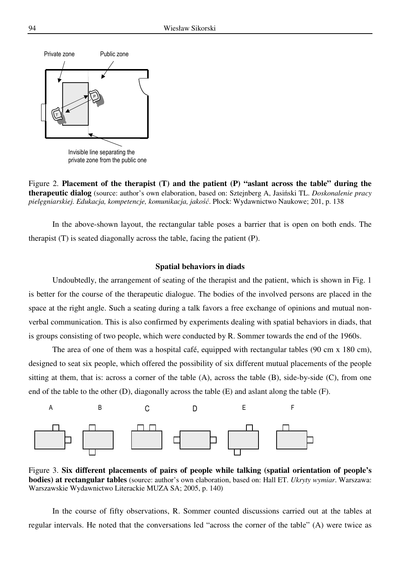

Figure 2. **Placement of the therapist (T) and the patient (P) "aslant across the table" during the therapeutic dialog** (source: author's own elaboration, based on: Sztejnberg A, Jasiński TL. *Doskonalenie pracy pielęgniarskiej. Edukacja, kompetencje, komunikacja, jakość*. Płock: Wydawnictwo Naukowe; 201, p. 138

In the above-shown layout, the rectangular table poses a barrier that is open on both ends. The therapist (T) is seated diagonally across the table, facing the patient (P).

#### **Spatial behaviors in diads**

Undoubtedly, the arrangement of seating of the therapist and the patient, which is shown in Fig. 1 is better for the course of the therapeutic dialogue. The bodies of the involved persons are placed in the space at the right angle. Such a seating during a talk favors a free exchange of opinions and mutual nonverbal communication. This is also confirmed by experiments dealing with spatial behaviors in diads, that is groups consisting of two people, which were conducted by R. Sommer towards the end of the 1960s.

The area of one of them was a hospital café, equipped with rectangular tables (90 cm x 180 cm), designed to seat six people, which offered the possibility of six different mutual placements of the people sitting at them, that is: across a corner of the table  $(A)$ , across the table  $(B)$ , side-by-side  $(C)$ , from one end of the table to the other (D), diagonally across the table (E) and aslant along the table (F).



Figure 3. **Six different placements of pairs of people while talking (spatial orientation of people's bodies) at rectangular tables** (source: author's own elaboration, based on: Hall ET. *Ukryty wymiar*. Warszawa: Warszawskie Wydawnictwo Literackie MUZA SA; 2005, p. 140)

In the course of fifty observations, R. Sommer counted discussions carried out at the tables at regular intervals. He noted that the conversations led "across the corner of the table" (A) were twice as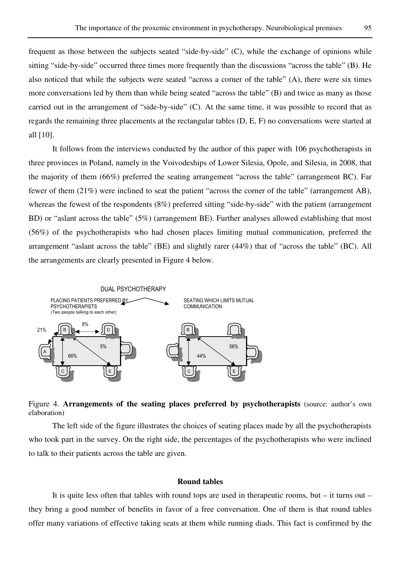frequent as those between the subjects seated "side-by-side" (C), while the exchange of opinions while sitting "side-by-side" occurred three times more frequently than the discussions "across the table" (B). He also noticed that while the subjects were seated "across a corner of the table" (A), there were six times more conversations led by them than while being seated "across the table" (B) and twice as many as those carried out in the arrangement of "side-by-side" (C). At the same time, it was possible to record that as regards the remaining three placements at the rectangular tables (D, E, F) no conversations were started at all [10].

It follows from the interviews conducted by the author of this paper with 106 psychotherapists in three provinces in Poland, namely in the Voivodeships of Lower Silesia, Opole, and Silesia, in 2008, that the majority of them (66%) preferred the seating arrangement "across the table" (arrangement BC). Far fewer of them (21%) were inclined to seat the patient "across the corner of the table" (arrangement AB), whereas the fewest of the respondents (8%) preferred sitting "side-by-side" with the patient (arrangement BD) or "aslant across the table" (5%) (arrangement BE). Further analyses allowed establishing that most (56%) of the psychotherapists who had chosen places limiting mutual communication, preferred the arrangement "aslant across the table" (BE) and slightly rarer (44%) that of "across the table" (BC). All the arrangements are clearly presented in Figure 4 below.



Figure 4. **Arrangements of the seating places preferred by psychotherapists** (source: author's own elaboration)

The left side of the figure illustrates the choices of seating places made by all the psychotherapists who took part in the survey. On the right side, the percentages of the psychotherapists who were inclined to talk to their patients across the table are given.

# **Round tables**

It is quite less often that tables with round tops are used in therapeutic rooms, but – it turns out – they bring a good number of benefits in favor of a free conversation. One of them is that round tables offer many variations of effective taking seats at them while running diads. This fact is confirmed by the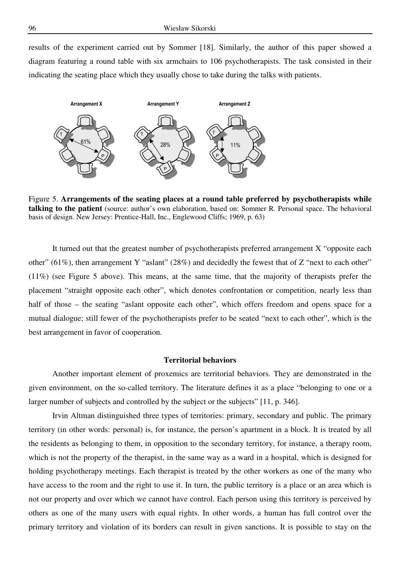results of the experiment carried out by Sommer [18]. Similarly, the author of this paper showed a diagram featuring a round table with six armchairs to 106 psychotherapists. The task consisted in their indicating the seating place which they usually chose to take during the talks with patients.



Figure 5. **Arrangements of the seating places at a round table preferred by psychotherapists while talking to the patient** (source: author's own elaboration, based on: Sommer R. Personal space. The behavioral basis of design. New Jersey: Prentice-Hall, Inc., Englewood Cliffs; 1969, p. 63)

It turned out that the greatest number of psychotherapists preferred arrangement X "opposite each other" (61%), then arrangement Y "aslant" (28%) and decidedly the fewest that of Z "next to each other" (11%) (see Figure 5 above). This means, at the same time, that the majority of therapists prefer the placement "straight opposite each other", which denotes confrontation or competition, nearly less than half of those – the seating "aslant opposite each other", which offers freedom and opens space for a mutual dialogue; still fewer of the psychotherapists prefer to be seated "next to each other", which is the best arrangement in favor of cooperation.

#### **Territorial behaviors**

Another important element of proxemics are territorial behaviors. They are demonstrated in the given environment, on the so-called territory. The literature defines it as a place "belonging to one or a larger number of subjects and controlled by the subject or the subjects" [11, p. 346].

Irvin Altman distinguished three types of territories: primary, secondary and public. The primary territory (in other words: personal) is, for instance, the person's apartment in a block. It is treated by all the residents as belonging to them, in opposition to the secondary territory, for instance, a therapy room, which is not the property of the therapist, in the same way as a ward in a hospital, which is designed for holding psychotherapy meetings. Each therapist is treated by the other workers as one of the many who have access to the room and the right to use it. In turn, the public territory is a place or an area which is not our property and over which we cannot have control. Each person using this territory is perceived by others as one of the many users with equal rights. In other words, a human has full control over the primary territory and violation of its borders can result in given sanctions. It is possible to stay on the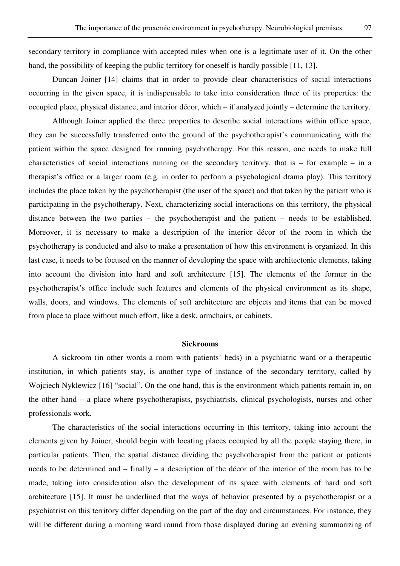secondary territory in compliance with accepted rules when one is a legitimate user of it. On the other hand, the possibility of keeping the public territory for oneself is hardly possible [11, 13].

Duncan Joiner [14] claims that in order to provide clear characteristics of social interactions occurring in the given space, it is indispensable to take into consideration three of its properties: the occupied place, physical distance, and interior décor, which – if analyzed jointly – determine the territory.

Although Joiner applied the three properties to describe social interactions within office space, they can be successfully transferred onto the ground of the psychotherapist's communicating with the patient within the space designed for running psychotherapy. For this reason, one needs to make full characteristics of social interactions running on the secondary territory, that is – for example – in a therapist's office or a larger room (e.g. in order to perform a psychological drama play). This territory includes the place taken by the psychotherapist (the user of the space) and that taken by the patient who is participating in the psychotherapy. Next, characterizing social interactions on this territory, the physical distance between the two parties – the psychotherapist and the patient – needs to be established. Moreover, it is necessary to make a description of the interior décor of the room in which the psychotherapy is conducted and also to make a presentation of how this environment is organized. In this last case, it needs to be focused on the manner of developing the space with architectonic elements, taking into account the division into hard and soft architecture [15]. The elements of the former in the psychotherapist's office include such features and elements of the physical environment as its shape, walls, doors, and windows. The elements of soft architecture are objects and items that can be moved from place to place without much effort, like a desk, armchairs, or cabinets.

#### **Sickrooms**

A sickroom (in other words a room with patients' beds) in a psychiatric ward or a therapeutic institution, in which patients stay, is another type of instance of the secondary territory, called by Wojciech Nyklewicz [16] "social". On the one hand, this is the environment which patients remain in, on the other hand – a place where psychotherapists, psychiatrists, clinical psychologists, nurses and other professionals work.

The characteristics of the social interactions occurring in this territory, taking into account the elements given by Joiner, should begin with locating places occupied by all the people staying there, in particular patients. Then, the spatial distance dividing the psychotherapist from the patient or patients needs to be determined and – finally – a description of the décor of the interior of the room has to be made, taking into consideration also the development of its space with elements of hard and soft architecture [15]. It must be underlined that the ways of behavior presented by a psychotherapist or a psychiatrist on this territory differ depending on the part of the day and circumstances. For instance, they will be different during a morning ward round from those displayed during an evening summarizing of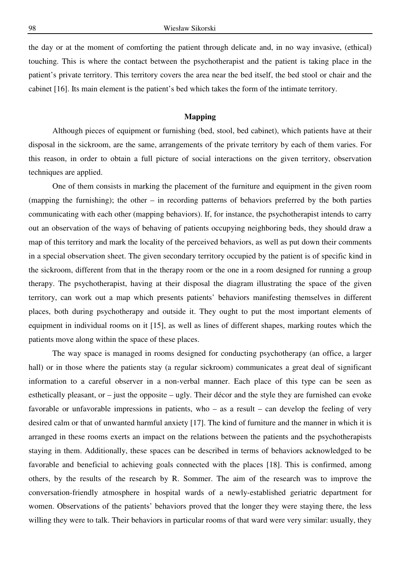the day or at the moment of comforting the patient through delicate and, in no way invasive, (ethical) touching. This is where the contact between the psychotherapist and the patient is taking place in the patient's private territory. This territory covers the area near the bed itself, the bed stool or chair and the cabinet [16]. Its main element is the patient's bed which takes the form of the intimate territory.

#### **Mapping**

Although pieces of equipment or furnishing (bed, stool, bed cabinet), which patients have at their disposal in the sickroom, are the same, arrangements of the private territory by each of them varies. For this reason, in order to obtain a full picture of social interactions on the given territory, observation techniques are applied.

One of them consists in marking the placement of the furniture and equipment in the given room (mapping the furnishing); the other – in recording patterns of behaviors preferred by the both parties communicating with each other (mapping behaviors). If, for instance, the psychotherapist intends to carry out an observation of the ways of behaving of patients occupying neighboring beds, they should draw a map of this territory and mark the locality of the perceived behaviors, as well as put down their comments in a special observation sheet. The given secondary territory occupied by the patient is of specific kind in the sickroom, different from that in the therapy room or the one in a room designed for running a group therapy. The psychotherapist, having at their disposal the diagram illustrating the space of the given territory, can work out a map which presents patients' behaviors manifesting themselves in different places, both during psychotherapy and outside it. They ought to put the most important elements of equipment in individual rooms on it [15], as well as lines of different shapes, marking routes which the patients move along within the space of these places.

The way space is managed in rooms designed for conducting psychotherapy (an office, a larger hall) or in those where the patients stay (a regular sickroom) communicates a great deal of significant information to a careful observer in a non-verbal manner. Each place of this type can be seen as esthetically pleasant, or – just the opposite – ugly. Their décor and the style they are furnished can evoke favorable or unfavorable impressions in patients, who – as a result – can develop the feeling of very desired calm or that of unwanted harmful anxiety [17]. The kind of furniture and the manner in which it is arranged in these rooms exerts an impact on the relations between the patients and the psychotherapists staying in them. Additionally, these spaces can be described in terms of behaviors acknowledged to be favorable and beneficial to achieving goals connected with the places [18]. This is confirmed, among others, by the results of the research by R. Sommer. The aim of the research was to improve the conversation-friendly atmosphere in hospital wards of a newly-established geriatric department for women. Observations of the patients' behaviors proved that the longer they were staying there, the less willing they were to talk. Their behaviors in particular rooms of that ward were very similar: usually, they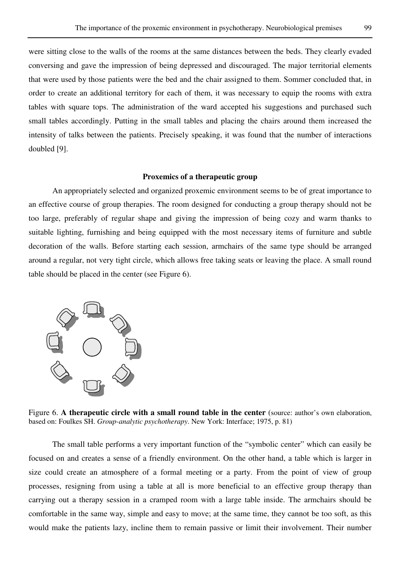were sitting close to the walls of the rooms at the same distances between the beds. They clearly evaded conversing and gave the impression of being depressed and discouraged. The major territorial elements that were used by those patients were the bed and the chair assigned to them. Sommer concluded that, in order to create an additional territory for each of them, it was necessary to equip the rooms with extra tables with square tops. The administration of the ward accepted his suggestions and purchased such small tables accordingly. Putting in the small tables and placing the chairs around them increased the intensity of talks between the patients. Precisely speaking, it was found that the number of interactions doubled [9].

#### **Proxemics of a therapeutic group**

An appropriately selected and organized proxemic environment seems to be of great importance to an effective course of group therapies. The room designed for conducting a group therapy should not be too large, preferably of regular shape and giving the impression of being cozy and warm thanks to suitable lighting, furnishing and being equipped with the most necessary items of furniture and subtle decoration of the walls. Before starting each session, armchairs of the same type should be arranged around a regular, not very tight circle, which allows free taking seats or leaving the place. A small round table should be placed in the center (see Figure 6).



Figure 6. **A therapeutic circle with a small round table in the center** (source: author's own elaboration, based on: Foulkes SH. *Group-analytic psychotherapy*. New York: Interface; 1975, p. 81)

The small table performs a very important function of the "symbolic center" which can easily be focused on and creates a sense of a friendly environment. On the other hand, a table which is larger in size could create an atmosphere of a formal meeting or a party. From the point of view of group processes, resigning from using a table at all is more beneficial to an effective group therapy than carrying out a therapy session in a cramped room with a large table inside. The armchairs should be comfortable in the same way, simple and easy to move; at the same time, they cannot be too soft, as this would make the patients lazy, incline them to remain passive or limit their involvement. Their number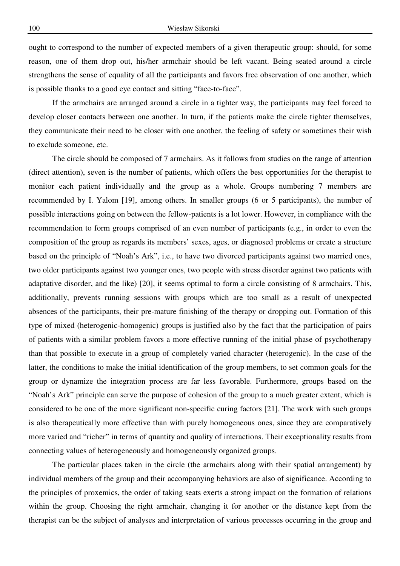ought to correspond to the number of expected members of a given therapeutic group: should, for some reason, one of them drop out, his/her armchair should be left vacant. Being seated around a circle strengthens the sense of equality of all the participants and favors free observation of one another, which is possible thanks to a good eye contact and sitting "face-to-face".

If the armchairs are arranged around a circle in a tighter way, the participants may feel forced to develop closer contacts between one another. In turn, if the patients make the circle tighter themselves, they communicate their need to be closer with one another, the feeling of safety or sometimes their wish to exclude someone, etc.

The circle should be composed of 7 armchairs. As it follows from studies on the range of attention (direct attention), seven is the number of patients, which offers the best opportunities for the therapist to monitor each patient individually and the group as a whole. Groups numbering 7 members are recommended by I. Yalom [19], among others. In smaller groups (6 or 5 participants), the number of possible interactions going on between the fellow-patients is a lot lower. However, in compliance with the recommendation to form groups comprised of an even number of participants (e.g., in order to even the composition of the group as regards its members' sexes, ages, or diagnosed problems or create a structure based on the principle of "Noah's Ark", i.e., to have two divorced participants against two married ones, two older participants against two younger ones, two people with stress disorder against two patients with adaptative disorder, and the like) [20], it seems optimal to form a circle consisting of 8 armchairs. This, additionally, prevents running sessions with groups which are too small as a result of unexpected absences of the participants, their pre-mature finishing of the therapy or dropping out. Formation of this type of mixed (heterogenic-homogenic) groups is justified also by the fact that the participation of pairs of patients with a similar problem favors a more effective running of the initial phase of psychotherapy than that possible to execute in a group of completely varied character (heterogenic). In the case of the latter, the conditions to make the initial identification of the group members, to set common goals for the group or dynamize the integration process are far less favorable. Furthermore, groups based on the "Noah's Ark" principle can serve the purpose of cohesion of the group to a much greater extent, which is considered to be one of the more significant non-specific curing factors [21]. The work with such groups is also therapeutically more effective than with purely homogeneous ones, since they are comparatively more varied and "richer" in terms of quantity and quality of interactions. Their exceptionality results from connecting values of heterogeneously and homogeneously organized groups.

The particular places taken in the circle (the armchairs along with their spatial arrangement) by individual members of the group and their accompanying behaviors are also of significance. According to the principles of proxemics, the order of taking seats exerts a strong impact on the formation of relations within the group. Choosing the right armchair, changing it for another or the distance kept from the therapist can be the subject of analyses and interpretation of various processes occurring in the group and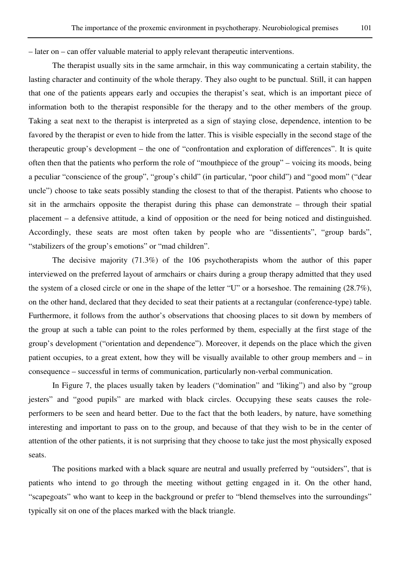– later on – can offer valuable material to apply relevant therapeutic interventions.

The therapist usually sits in the same armchair, in this way communicating a certain stability, the lasting character and continuity of the whole therapy. They also ought to be punctual. Still, it can happen that one of the patients appears early and occupies the therapist's seat, which is an important piece of information both to the therapist responsible for the therapy and to the other members of the group. Taking a seat next to the therapist is interpreted as a sign of staying close, dependence, intention to be favored by the therapist or even to hide from the latter. This is visible especially in the second stage of the therapeutic group's development – the one of "confrontation and exploration of differences". It is quite often then that the patients who perform the role of "mouthpiece of the group" – voicing its moods, being a peculiar "conscience of the group", "group's child" (in particular, "poor child") and "good mom" ("dear uncle") choose to take seats possibly standing the closest to that of the therapist. Patients who choose to sit in the armchairs opposite the therapist during this phase can demonstrate – through their spatial placement – a defensive attitude, a kind of opposition or the need for being noticed and distinguished. Accordingly, these seats are most often taken by people who are "dissentients", "group bards", "stabilizers of the group's emotions" or "mad children".

The decisive majority (71.3%) of the 106 psychotherapists whom the author of this paper interviewed on the preferred layout of armchairs or chairs during a group therapy admitted that they used the system of a closed circle or one in the shape of the letter "U" or a horseshoe. The remaining (28.7%), on the other hand, declared that they decided to seat their patients at a rectangular (conference-type) table. Furthermore, it follows from the author's observations that choosing places to sit down by members of the group at such a table can point to the roles performed by them, especially at the first stage of the group's development ("orientation and dependence"). Moreover, it depends on the place which the given patient occupies, to a great extent, how they will be visually available to other group members and – in consequence – successful in terms of communication, particularly non-verbal communication.

In Figure 7, the places usually taken by leaders ("domination" and "liking") and also by "group jesters" and "good pupils" are marked with black circles. Occupying these seats causes the roleperformers to be seen and heard better. Due to the fact that the both leaders, by nature, have something interesting and important to pass on to the group, and because of that they wish to be in the center of attention of the other patients, it is not surprising that they choose to take just the most physically exposed seats.

The positions marked with a black square are neutral and usually preferred by "outsiders", that is patients who intend to go through the meeting without getting engaged in it. On the other hand, "scapegoats" who want to keep in the background or prefer to "blend themselves into the surroundings" typically sit on one of the places marked with the black triangle.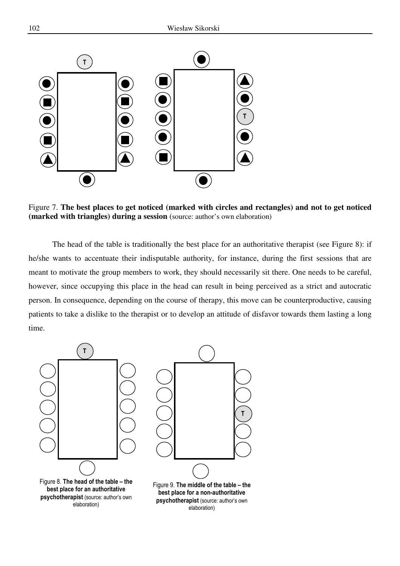

Figure 7. **The best places to get noticed (marked with circles and rectangles) and not to get noticed (marked with triangles) during a session** (source: author's own elaboration)

The head of the table is traditionally the best place for an authoritative therapist (see Figure 8): if he/she wants to accentuate their indisputable authority, for instance, during the first sessions that are meant to motivate the group members to work, they should necessarily sit there. One needs to be careful, however, since occupying this place in the head can result in being perceived as a strict and autocratic person. In consequence, depending on the course of therapy, this move can be counterproductive, causing patients to take a dislike to the therapist or to develop an attitude of disfavor towards them lasting a long time.

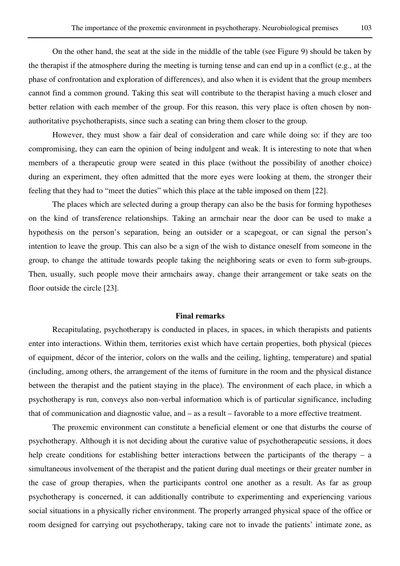On the other hand, the seat at the side in the middle of the table (see Figure 9) should be taken by the therapist if the atmosphere during the meeting is turning tense and can end up in a conflict (e.g., at the phase of confrontation and exploration of differences), and also when it is evident that the group members cannot find a common ground. Taking this seat will contribute to the therapist having a much closer and better relation with each member of the group. For this reason, this very place is often chosen by nonauthoritative psychotherapists, since such a seating can bring them closer to the group.

However, they must show a fair deal of consideration and care while doing so: if they are too compromising, they can earn the opinion of being indulgent and weak. It is interesting to note that when members of a therapeutic group were seated in this place (without the possibility of another choice) during an experiment, they often admitted that the more eyes were looking at them, the stronger their feeling that they had to "meet the duties" which this place at the table imposed on them [22].

The places which are selected during a group therapy can also be the basis for forming hypotheses on the kind of transference relationships. Taking an armchair near the door can be used to make a hypothesis on the person's separation, being an outsider or a scapegoat, or can signal the person's intention to leave the group. This can also be a sign of the wish to distance oneself from someone in the group, to change the attitude towards people taking the neighboring seats or even to form sub-groups. Then, usually, such people move their armchairs away, change their arrangement or take seats on the floor outside the circle [23].

#### **Final remarks**

Recapitulating, psychotherapy is conducted in places, in spaces, in which therapists and patients enter into interactions. Within them, territories exist which have certain properties, both physical (pieces of equipment, décor of the interior, colors on the walls and the ceiling, lighting, temperature) and spatial (including, among others, the arrangement of the items of furniture in the room and the physical distance between the therapist and the patient staying in the place). The environment of each place, in which a psychotherapy is run, conveys also non-verbal information which is of particular significance, including that of communication and diagnostic value, and – as a result – favorable to a more effective treatment.

The proxemic environment can constitute a beneficial element or one that disturbs the course of psychotherapy. Although it is not deciding about the curative value of psychotherapeutic sessions, it does help create conditions for establishing better interactions between the participants of the therapy – a simultaneous involvement of the therapist and the patient during dual meetings or their greater number in the case of group therapies, when the participants control one another as a result. As far as group psychotherapy is concerned, it can additionally contribute to experimenting and experiencing various social situations in a physically richer environment. The properly arranged physical space of the office or room designed for carrying out psychotherapy, taking care not to invade the patients' intimate zone, as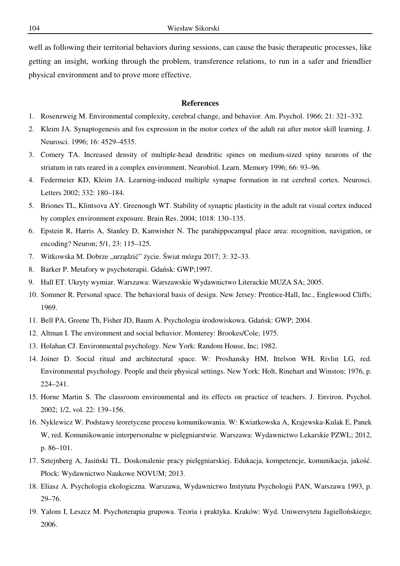well as following their territorial behaviors during sessions, can cause the basic therapeutic processes, like getting an insight, working through the problem, transference relations, to run in a safer and friendlier physical environment and to prove more effective.

#### **References**

- 1. Rosenzweig M. Environmental complexity, cerebral change, and behavior. Am. Psychol. 1966; 21: 321–332.
- 2. Kleim JA. Synaptogenesis and fos expression in the motor cortex of the adult rat after motor skill learning. J. Neurosci. 1996; 16: 4529–4535.
- 3. Comery TA. Increased density of multiple-head dendritic spines on medium-sized spiny neurons of the striatum in rats reared in a complex environment. Neurobiol. Learn. Memory 1996; 66: 93–96.
- 4. Federmeier KD, Kleim JA. Learning-induced multiple synapse formation in rat cerebral cortex. Neurosci. Letters 2002; 332: 180–184.
- 5. Briones TL, Klintsova AY. Greenough WT. Stability of synaptic plasticity in the adult rat visual cortex induced by complex environment exposure. Brain Res. 2004; 1018: 130–135.
- 6. Epstein R, Harris A, Stanley D, Kanwisher N. The parahippocampal place area: recognition, navigation, or encoding? Neuron; 5/1, 23: 115–125.
- 7. Witkowska M. Dobrze "urządzić" życie. Świat mózgu 2017; 3: 32–33.
- 8. Barker P. Metafory w psychoterapii. Gdańsk: GWP;1997.
- 9. Hall ET. Ukryty wymiar. Warszawa: Warszawskie Wydawnictwo Literackie MUZA SA; 2005.
- 10. Sommer R. Personal space. The behavioral basis of design. New Jersey: Prentice-Hall, Inc., Englewood Cliffs; 1969.
- 11. Bell PA, Greene Th, Fisher JD, Baum A. Psychologia środowiskowa. Gdańsk: GWP; 2004.
- 12. Altman I. The environment and social behavior. Monterey: Brookes/Cole; 1975.
- 13. Holahan CJ. Environmental psychology. New York: Random House, Inc; 1982.
- 14. Joiner D. Social ritual and architectural space. W: Proshansky HM, Ittelson WH, Rivlin LG, red. Environmental psychology. People and their physical settings. New York: Holt, Rinehart and Winston; 1976, p. 224–241.
- 15. Horne Martin S. The classroom environmental and its effects on practice of teachers. J. Environ. Psychol. 2002; 1/2, vol. 22: 139–156.
- 16. Nyklewicz W. Podstawy teoretyczne procesu komunikowania. W: Kwiatkowska A, Krajewska-Kulak E, Panek W, red. Komunikowanie interpersonalne w pielęgniarstwie. Warszawa: Wydawnictwo Lekarskie PZWL; 2012, p. 86–101.
- 17. Sztejnberg A, Jasiński TL. Doskonalenie pracy pielęgniarskiej. Edukacja, kompetencje, komunikacja, jakość. Płock: Wydawnictwo Naukowe NOVUM; 2013.
- 18. Eliasz A. Psychologia ekologiczna. Warszawa, Wydawnictwo Instytutu Psychologii PAN, Warszawa 1993, p. 29–76.
- 19. Yalom I, Leszcz M. Psychoterapia grupowa. Teoria i praktyka. Kraków: Wyd. Uniwersytetu Jagiellońskiego; 2006.